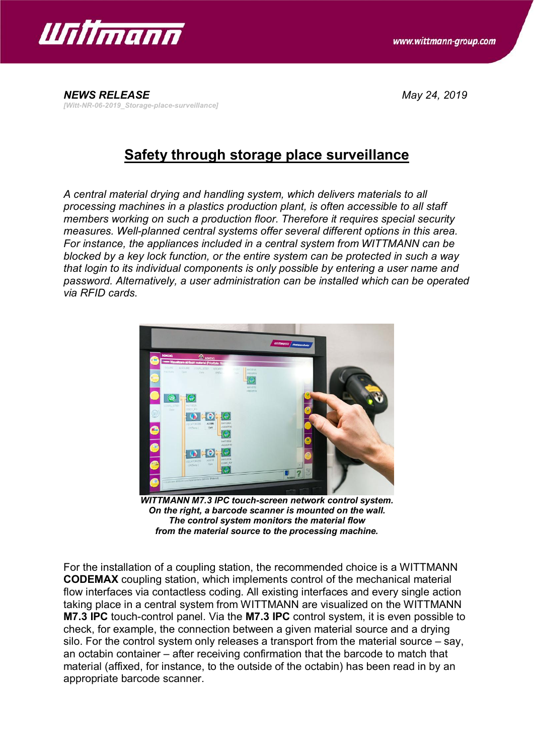

*NEWS RELEASE May 24, 2019 [Witt-NR-06-2019\_Storage-place-surveillance]*

## **Safety through storage place surveillance**

*A central material drying and handling system, which delivers materials to all processing machines in a plastics production plant, is often accessible to all staff members working on such a production floor. Therefore it requires special security measures. Well-planned central systems offer several different options in this area. For instance, the appliances included in a central system from WITTMANN can be blocked by a key lock function, or the entire system can be protected in such a way that login to its individual components is only possible by entering a user name and password. Alternatively, a user administration can be installed which can be operated via RFID cards.*



*WITTMANN M7.3 IPC touch-screen network control system. On the right, a barcode scanner is mounted on the wall. The control system monitors the material flow from the material source to the processing machine.*

For the installation of a coupling station, the recommended choice is a WITTMANN **CODEMAX** coupling station, which implements control of the mechanical material flow interfaces via contactless coding. All existing interfaces and every single action taking place in a central system from WITTMANN are visualized on the WITTMANN **M7.3 IPC** touch-control panel. Via the **M7.3 IPC** control system, it is even possible to check, for example, the connection between a given material source and a drying silo. For the control system only releases a transport from the material source – say, an octabin container – after receiving confirmation that the barcode to match that material (affixed, for instance, to the outside of the octabin) has been read in by an appropriate barcode scanner.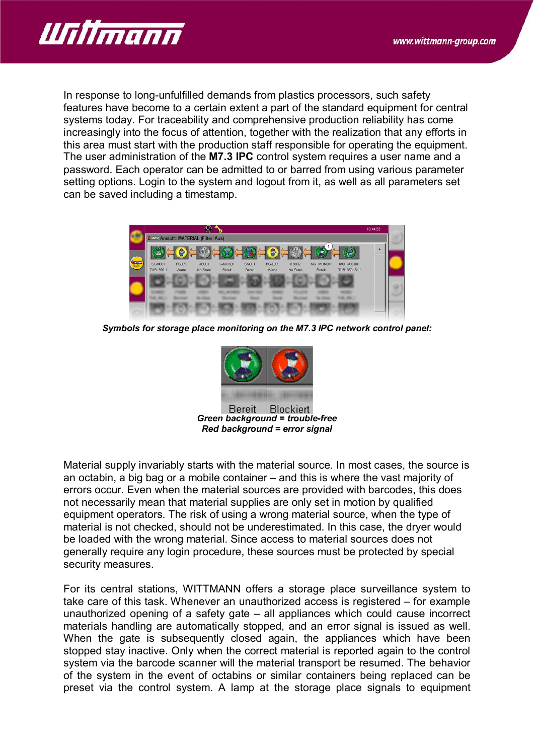

In response to long-unfulfilled demands from plastics processors, such safety features have become to a certain extent a part of the standard equipment for central systems today. For traceability and comprehensive production reliability has come increasingly into the focus of attention, together with the realization that any efforts in this area must start with the production staff responsible for operating the equipment. The user administration of the **M7.3 IPC** control system requires a user name and a password. Each operator can be admitted to or barred from using various parameter setting options. Login to the system and logout from it, as well as all parameters set can be saved including a timestamp.



*Symbols for storage place monitoring on the M7.3 IPC network control panel:*



*Red background = error signal*

Material supply invariably starts with the material source. In most cases, the source is an octabin, a big bag or a mobile container – and this is where the vast majority of errors occur. Even when the material sources are provided with barcodes, this does not necessarily mean that material supplies are only set in motion by qualified equipment operators. The risk of using a wrong material source, when the type of material is not checked, should not be underestimated. In this case, the dryer would be loaded with the wrong material. Since access to material sources does not generally require any login procedure, these sources must be protected by special security measures.

For its central stations, WITTMANN offers a storage place surveillance system to take care of this task. Whenever an unauthorized access is registered – for example unauthorized opening of a safety gate – all appliances which could cause incorrect materials handling are automatically stopped, and an error signal is issued as well. When the gate is subsequently closed again, the appliances which have been stopped stay inactive. Only when the correct material is reported again to the control system via the barcode scanner will the material transport be resumed. The behavior of the system in the event of octabins or similar containers being replaced can be preset via the control system. A lamp at the storage place signals to equipment